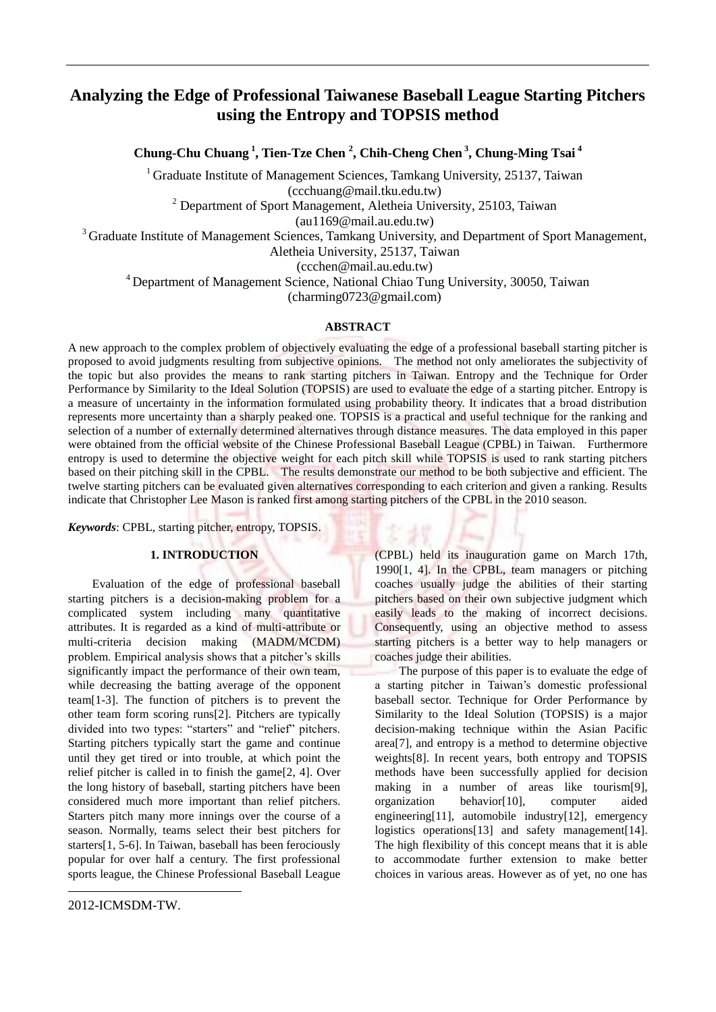# **Analyzing the Edge of Professional Taiwanese Baseball League Starting Pitchers using the Entropy and TOPSIS method**

**Chung-Chu Chuang <sup>1</sup> , Tien-Tze Chen <sup>2</sup> , Chih-Cheng Chen <sup>3</sup> , Chung-Ming Tsai <sup>4</sup>**

 $1$  Graduate Institute of Management Sciences, Tamkang University, 25137, Taiwan (ccchuang@mail.tku.edu.tw)

 $2$  Department of Sport Management, Aletheia University, 25103, Taiwan

(au1169@mail.au.edu.tw)

<sup>3</sup> Graduate Institute of Management Sciences, Tamkang University, and Department of Sport Management,

Aletheia University, 25137, Taiwan

(ccchen@mail.au.edu.tw)

<sup>4</sup> Department of Management Science, National Chiao Tung University, 30050, Taiwan (charming0723@gmail.com)

## **ABSTRACT**

A new approach to the complex problem of objectively evaluating the edge of a professional baseball starting pitcher is proposed to avoid judgments resulting from subjective opinions. The method not only ameliorates the subjectivity of the topic but also provides the means to rank starting pitchers in Taiwan. Entropy and the Technique for Order Performance by Similarity to the Ideal Solution (TOPSIS) are used to evaluate the edge of a starting pitcher. Entropy is a measure of uncertainty in the information formulated using probability theory. It indicates that a broad distribution represents more uncertainty than a sharply peaked one. TOPSIS is a practical and useful technique for the ranking and selection of a number of externally determined alternatives through distance measures. The data employed in this paper were obtained from the official website of the Chinese Professional Baseball League (CPBL) in Taiwan. Furthermore entropy is used to determine the objective weight for each pitch skill while TOPSIS is used to rank starting pitchers based on their pitching skill in the CPBL. The results demonstrate our method to be both subjective and efficient. The twelve starting pitchers can be evaluated given alternatives corresponding to each criterion and given a ranking. Results indicate that Christopher Lee Mason is ranked first among starting pitchers of the CPBL in the 2010 season.

*Keywords*: CPBL, starting pitcher, entropy, TOPSIS.

## **1. INTRODUCTION**

Evaluation of the edge of professional baseball starting pitchers is a decision-making problem for a complicated system including many quantitative attributes. It is regarded as a kind of multi-attribute or multi-criteria decision making (MADM/MCDM) problem. Empirical analysis shows that a pitcher's skills significantly impact the performance of their own team, while decreasing the batting average of the opponent team[1-3]. The function of pitchers is to prevent the other team form scoring runs[2]. Pitchers are typically divided into two types: "starters" and "relief" pitchers. Starting pitchers typically start the game and continue until they get tired or into trouble, at which point the relief pitcher is called in to finish the game[2, 4]. Over the long history of baseball, starting pitchers have been considered much more important than relief pitchers. Starters pitch many more innings over the course of a season. Normally, teams select their best pitchers for starters[1, 5-6]. In Taiwan, baseball has been ferociously popular for over half a century. The first professional sports league, the Chinese Professional Baseball League

2012-ICMSDM-TW.

-

(CPBL) held its inauguration game on March 17th, 1990[1, 4]. In the CPBL, team managers or pitching coaches usually judge the abilities of their starting pitchers based on their own subjective judgment which easily leads to the making of incorrect decisions. Consequently, using an objective method to assess starting pitchers is a better way to help managers or coaches judge their abilities.

The purpose of this paper is to evaluate the edge of a starting pitcher in Taiwan's domestic professional baseball sector. Technique for Order Performance by Similarity to the Ideal Solution (TOPSIS) is a major decision-making technique within the Asian Pacific area[7], and entropy is a method to determine objective weights[8]. In recent years, both entropy and TOPSIS methods have been successfully applied for decision making in a number of areas like tourism[9], organization behavior[10], computer aided engineering[11], automobile industry[12], emergency logistics operations[13] and safety management[14]. The high flexibility of this concept means that it is able to accommodate further extension to make better choices in various areas. However as of yet, no one has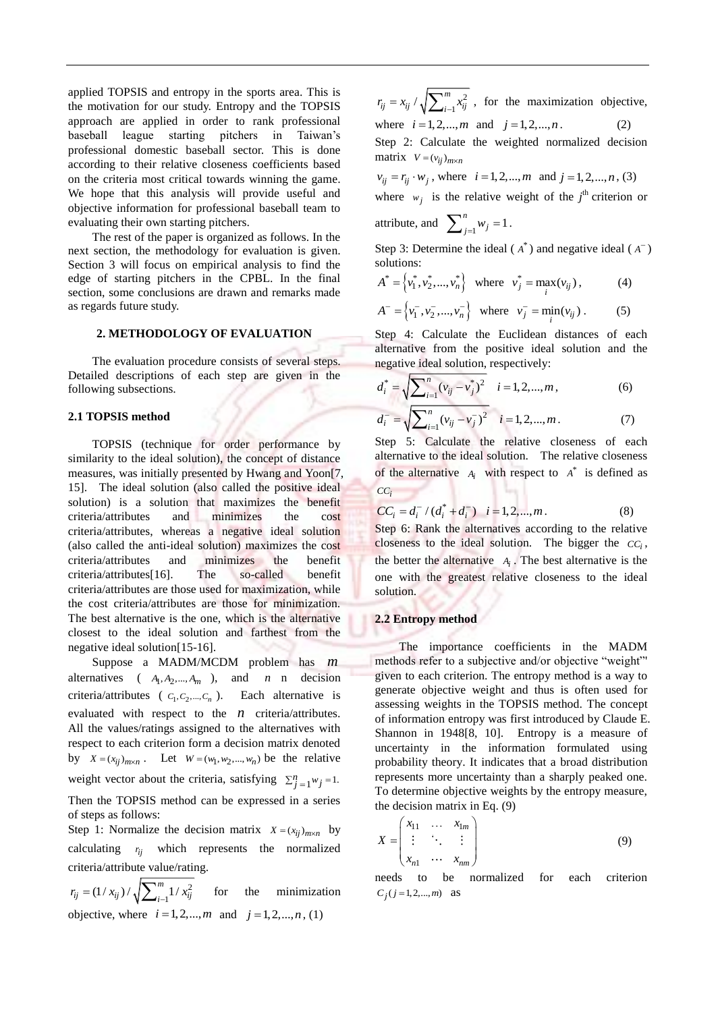applied TOPSIS and entropy in the sports area. This is the motivation for our study. Entropy and the TOPSIS approach are applied in order to rank professional baseball league starting pitchers in Taiwan's professional domestic baseball sector. This is done according to their relative closeness coefficients based on the criteria most critical towards winning the game. We hope that this analysis will provide useful and objective information for professional baseball team to evaluating their own starting pitchers.

The rest of the paper is organized as follows. In the next section, the methodology for evaluation is given. Section 3 will focus on empirical analysis to find the edge of starting pitchers in the CPBL. In the final section, some conclusions are drawn and remarks made as regards future study.

## **2. METHODOLOGY OF EVALUATION**

The evaluation procedure consists of several steps. Detailed descriptions of each step are given in the following subsections.

### **2.1 TOPSIS method**

TOPSIS (technique for order performance by similarity to the ideal solution), the concept of distance measures, was initially presented by Hwang and Yoon[7, 15]. The ideal solution (also called the positive ideal solution) is a solution that maximizes the benefit criteria/attributes and minimizes the cost criteria/attributes, whereas a negative ideal solution (also called the anti-ideal solution) maximizes the cost criteria/attributes and minimizes the benefit criteria/attributes[16]. The so-called benefit criteria/attributes are those used for maximization, while the cost criteria/attributes are those for minimization. The best alternative is the one, which is the alternative closest to the ideal solution and farthest from the negative ideal solution[15-16].

Suppose a MADM/MCDM problem has *m* alternatives  $(A_1, A_2, ..., A_m)$ , and *n* decision criteria/attributes ( $c_1, c_2, ..., c_n$ ). Each alternative is evaluated with respect to the  $n$  criteria/attributes. All the values/ratings assigned to the alternatives with respect to each criterion form a decision matrix denoted by  $X = (x_{ij})_{m \times n}$ . Let  $W = (w_1, w_2, ..., w_n)$  be the relative weight vector about the criteria, satisfying  $\sum_{j=1}^{n} w_j = 1$ . Then the TOPSIS method can be expressed in a series

of steps as follows:

Step 1: Normalize the decision matrix  $X = (x_{ij})_{m \times n}$  by calculating  $r_{ij}$  which represents the normalized criteria/attribute value/rating.

2  $(1/x_{ij}) / \sqrt{\sum_{i=1}^{m} 1/n}$  $r_{ij} = (1 / x_{ij}) / \sqrt{\sum_{i=1}^{\infty} 1 / x_{ij}}$  $=(1/x_{ij})/\sqrt{\sum}$ minimization objective, where  $i = 1, 2, ..., m$  and  $j = 1, 2, ..., n$ , (1)

2  $\sqrt{\sum\nolimits_{i=1}^{m}}$  $r_{ij} = x_{ij} / \sqrt{\sum_{i=1}^{m} x_{ij}^2}$ , for the maximization objective, where  $i = 1, 2, ..., m$  and  $j = 1, 2, ..., n$ . (2)

Step 2: Calculate the weighted normalized decision  $matrix \quad V = (v_{ij})_{m \times n}$ 

 $v_{ij} = r_{ij} \cdot w_j$ , where  $i = 1, 2, ..., m$  and  $j = 1, 2, ..., n$ , (3)

where  $w_j$  is the relative weight of the  $j^{\text{th}}$  criterion or

attribute, and 
$$
\sum_{j=1}^{n} w_j = 1
$$
.

Step 3: Determine the ideal  $(A^*)$  and negative ideal  $(A^-)$ solutions:

$$
A^* = \left\{ v_1^*, v_2^*, \dots, v_n^* \right\} \text{ where } v_j^* = \max_i (v_{ij}), \quad (4)
$$

$$
A^{-} = \left\{ v_1^{-}, v_2^{-}, ..., v_n^{-} \right\} \text{ where } v_j^{-} = \min_i(v_{ij}). \quad (5)
$$

Step 4: Calculate the Euclidean distances of each alternative from the positive ideal solution and the negative ideal solution, respectively:

$$
d_i^* = \sqrt{\sum_{i=1}^n (v_{ij} - v_j^*)^2} \quad i = 1, 2, ..., m,
$$
 (6)

$$
d_i^- = \sqrt{\sum_{i=1}^n (v_{ij} - v_j^-)^2} \quad i = 1, 2, ..., m. \tag{7}
$$

Step 5: Calculate the relative closeness of each alternative to the ideal solution. The relative closeness of the alternative  $A_i$  with respect to  $A^*$  is defined as *CC<sup>i</sup>*

$$
CC_i = d_i^- / (d_i^* + d_i^-) \quad i = 1, 2, ..., m. \tag{8}
$$

Step 6: Rank the alternatives according to the relative closeness to the ideal solution. The bigger the  $cc_i$ , the better the alternative  $A_i$ . The best alternative is the one with the greatest relative closeness to the ideal solution.

#### **2.2 Entropy method**

The importance coefficients in the MADM methods refer to a subjective and/or objective "weight"' given to each criterion. The entropy method is a way to generate objective weight and thus is often used for assessing weights in the TOPSIS method. The concept of information entropy was first introduced by Claude E. Shannon in 1948[8, 10]. Entropy is a measure of uncertainty in the information formulated using probability theory. It indicates that a broad distribution represents more uncertainty than a sharply peaked one. To determine objective weights by the entropy measure, the decision matrix in Eq. (9)

$$
X = \begin{pmatrix} x_{11} & \dots & x_{1m} \\ \vdots & \ddots & \vdots \\ x_{n1} & \dots & x_{nm} \end{pmatrix}
$$
 (9)

needs to be normalized for each criterion  $C_j$  (*j* = 1, 2, ..., *m*) as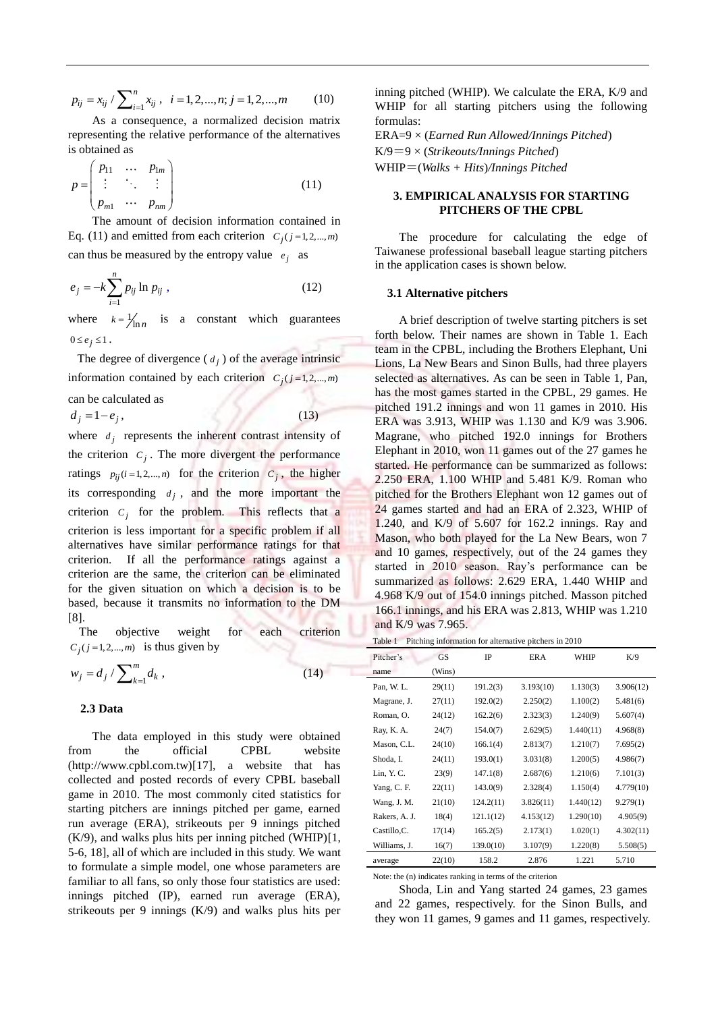$$
p_{ij} = x_{ij} / \sum_{i=1}^{n} x_{ij}, \quad i = 1, 2, ..., n; j = 1, 2, ..., m \tag{10}
$$

As a consequence, a normalized decision matrix representing the relative performance of the alternatives is obtained as

$$
p = \begin{pmatrix} p_{11} & \dots & p_{1m} \\ \vdots & \ddots & \vdots \\ p_{m1} & \dots & p_{nm} \end{pmatrix}
$$
 (11)

 The amount of decision information contained in Eq. (11) and emitted from each criterion  $C_j$  ( $j = 1, 2, \dots, m$ ) can thus be measured by the entropy value  $e_j$  as

$$
e_j = -k \sum_{i=1}^{n} p_{ij} \ln p_{ij} , \qquad (12)
$$

where  $k = \frac{1}{\ln n}$  is a constant which guarantees  $0 \le e_i \le 1$ .

The degree of divergence  $(d_j)$  of the average intrinsic information contained by each criterion  $C_j$  ( $j = 1, 2, ..., m$ )

can be calculated as

 $d_i = 1 - e_i$ 

$$
(13
$$

where  $d_j$  represents the inherent contrast intensity of the criterion  $C_j$ . The more divergent the performance ratings  $p_{ij}$  (*i*=1,2,...,*n*) for the criterion  $C_j$ , the higher its corresponding  $d_j$ , and the more important the criterion  $C_j$  for the problem. This reflects that a criterion is less important for a specific problem if all alternatives have similar performance ratings for that criterion. If all the performance ratings against a criterion are the same, the criterion can be eliminated for the given situation on which a decision is to be based, because it transmits no information to the DM [8].

The objective weight for each criterion  $C_j$  ( $j = 1, 2, \dots, m$ ) is thus given by

$$
w_j = d_j / \sum_{k=1}^m d_k , \qquad (14)
$$

#### **2.3 Data**

The data employed in this study were obtained from the official CPBL website (http://www.cpbl.com.tw)[17], a website that has collected and posted records of every CPBL baseball game in 2010. The most commonly cited statistics for starting pitchers are innings pitched per game, earned run average (ERA), strikeouts per 9 innings pitched  $(K/9)$ , and walks plus hits per inning pitched  $(WHIP)[1,$ 5-6, 18], all of which are included in this study. We want to formulate a simple model, one whose parameters are familiar to all fans, so only those four statistics are used: innings pitched (IP), earned run average (ERA), strikeouts per 9 innings (K/9) and walks plus hits per inning pitched (WHIP). We calculate the ERA, K/9 and WHIP for all starting pitchers using the following formulas:

ERA=9 × (*Earned Run Allowed/Innings Pitched*) K/9=9 × (*Strikeouts/Innings Pitched*) WHIP=(*Walks + Hits*)*/Innings Pitched*

## **3. EMPIRICAL ANALYSIS FOR STARTING PITCHERS OF THE CPBL**

The procedure for calculating the edge of Taiwanese professional baseball league starting pitchers in the application cases is shown below.

#### **3.1 Alternative pitchers**

A brief description of twelve starting pitchers is set forth below. Their names are shown in Table 1. Each team in the CPBL, including the Brothers Elephant, Uni Lions, La New Bears and Sinon Bulls, had three players selected as alternatives. As can be seen in Table 1, Pan, has the most games started in the CPBL, 29 games. He pitched 191.2 innings and won 11 games in 2010. His ERA was 3.913, WHIP was 1.130 and K/9 was 3.906. Magrane, who pitched 192.0 innings for Brothers Elephant in 2010, won 11 games out of the 27 games he started. He performance can be summarized as follows: 2.250 ERA, 1.100 WHIP and 5.481 K/9. Roman who pitched for the Brothers Elephant won 12 games out of 24 games started and had an ERA of 2.323, WHIP of 1.240, and K/9 of 5.607 for 162.2 innings. Ray and Mason, who both played for the La New Bears, won 7 and 10 games, respectively, out of the 24 games they started in 2010 season. Ray's performance can be summarized as follows: 2.629 ERA, 1.440 WHIP and 4.968 K/9 out of 154.0 innings pitched. Masson pitched 166.1 innings, and his ERA was 2.813, WHIP was 1.210 and K/9 was 7.965.

Table 1 Pitching information for alternative pitchers in 2010

| Pitcher's     | <b>GS</b> | <b>IP</b> | ER A      | WHIP      | K/9       |
|---------------|-----------|-----------|-----------|-----------|-----------|
| name          | (Wins)    |           |           |           |           |
| Pan, W.L.     | 29(11)    | 191.2(3)  | 3.193(10) | 1.130(3)  | 3.906(12) |
| Magrane, J.   | 27(11)    | 192.0(2)  | 2.250(2)  | 1.100(2)  | 5.481(6)  |
| Roman, O.     | 24(12)    | 162.2(6)  | 2.323(3)  | 1.240(9)  | 5.607(4)  |
| Ray, K. A.    | 24(7)     | 154.0(7)  | 2.629(5)  | 1.440(11) | 4.968(8)  |
| Mason, C.L.   | 24(10)    | 166.1(4)  | 2.813(7)  | 1.210(7)  | 7.695(2)  |
| Shoda, I.     | 24(11)    | 193.0(1)  | 3.031(8)  | 1.200(5)  | 4.986(7)  |
| Lin, Y.C.     | 23(9)     | 147.1(8)  | 2.687(6)  | 1.210(6)  | 7.101(3)  |
| Yang, C. F.   | 22(11)    | 143.0(9)  | 2.328(4)  | 1.150(4)  | 4.779(10) |
| Wang, J. M.   | 21(10)    | 124.2(11) | 3.826(11) | 1.440(12) | 9.279(1)  |
| Rakers, A. J. | 18(4)     | 121.1(12) | 4.153(12) | 1.290(10) | 4.905(9)  |
| Castillo, C.  | 17(14)    | 165.2(5)  | 2.173(1)  | 1.020(1)  | 4.302(11) |
| Williams, J.  | 16(7)     | 139.0(10) | 3.107(9)  | 1.220(8)  | 5.508(5)  |
| average       | 22(10)    | 158.2     | 2.876     | 1.221     | 5.710     |

Note: the (n) indicates ranking in terms of the criterion

Shoda, Lin and Yang started 24 games, 23 games and 22 games, respectively. for the Sinon Bulls, and they won 11 games, 9 games and 11 games, respectively.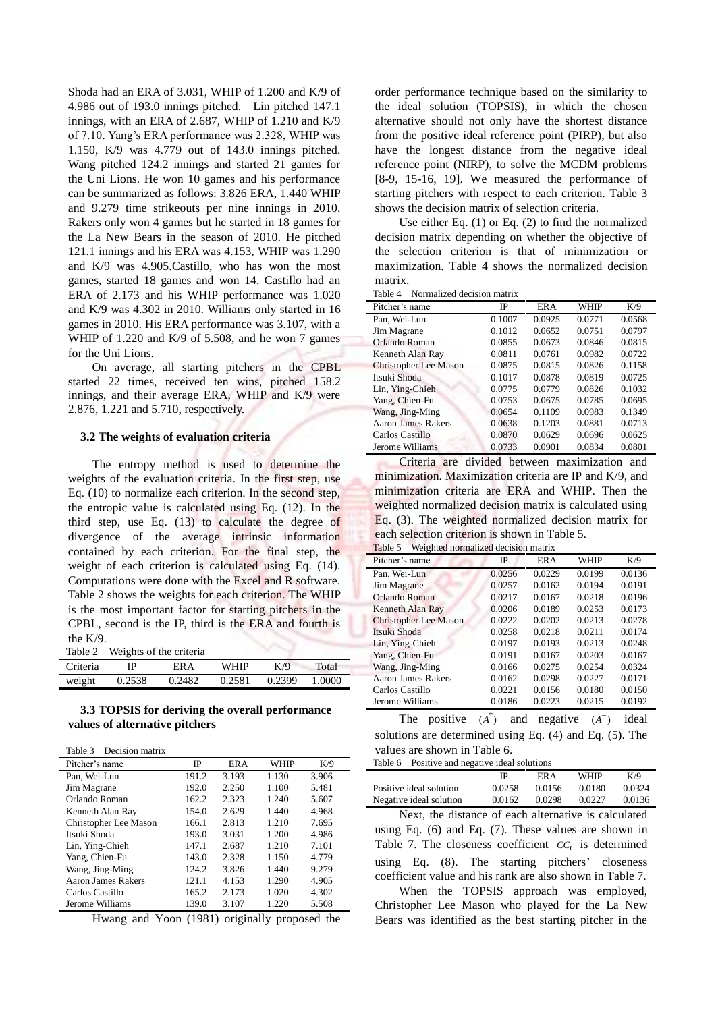Shoda had an ERA of 3.031, WHIP of 1.200 and K/9 of 4.986 out of 193.0 innings pitched. Lin pitched 147.1 innings, with an ERA of 2.687, WHIP of 1.210 and K/9 of 7.10. Yang's ERA performance was 2.328, WHIP was 1.150, K/9 was 4.779 out of 143.0 innings pitched. Wang pitched 124.2 innings and started 21 games for the Uni Lions. He won 10 games and his performance can be summarized as follows: 3.826 ERA, 1.440 WHIP and 9.279 time strikeouts per nine innings in 2010. Rakers only won 4 games but he started in 18 games for the La New Bears in the season of 2010. He pitched 121.1 innings and his ERA was 4.153, WHIP was 1.290 and K/9 was 4.905.Castillo, who has won the most games, started 18 games and won 14. Castillo had an ERA of 2.173 and his WHIP performance was 1.020 and K/9 was 4.302 in 2010. Williams only started in 16 games in 2010. His ERA performance was 3.107, with a WHIP of 1.220 and K/9 of 5.508, and he won 7 games for the Uni Lions.

On average, all starting pitchers in the CPBL started 22 times, received ten wins, pitched 158.2 innings, and their average ERA, WHIP and K/9 were 2.876, 1.221 and 5.710, respectively.

#### **3.2 The weights of evaluation criteria**

The entropy method is used to determine the weights of the evaluation criteria. In the first step, use Eq. (10) to normalize each criterion. In the second step, the entropic value is calculated using Eq. (12). In the third step, use Eq. (13) to calculate the degree of divergence of the average intrinsic information contained by each criterion. For the final step, the weight of each criterion is calculated using Eq. (14). Computations were done with the Excel and R software. Table 2 shows the weights for each criterion. The WHIP is the most important factor for starting pitchers in the CPBL, second is the IP, third is the ERA and fourth is the K/9.

Table 2 Weights of the criteria

| Criteria | IP     | ER A   | WHIP   | K/9    | Total  |  |
|----------|--------|--------|--------|--------|--------|--|
| weight   | 0.2538 | 0.2482 | 0.2581 | 0.2399 | 1.0000 |  |

### **3.3 TOPSIS for deriving the overall performance values of alternative pitchers**

| Decision matrix<br>Table 3 |       |            |       |       |
|----------------------------|-------|------------|-------|-------|
| Pitcher's name             | IP    | <b>ERA</b> | WHIP  | K/9   |
| Pan, Wei-Lun               | 191.2 | 3.193      | 1.130 | 3.906 |
| Jim Magrane                | 192.0 | 2.250      | 1.100 | 5.481 |
| Orlando Roman              | 162.2 | 2.323      | 1.240 | 5.607 |
| Kenneth Alan Ray           | 154.0 | 2.629      | 1.440 | 4.968 |
| Christopher Lee Mason      | 166.1 | 2.813      | 1.210 | 7.695 |
| Itsuki Shoda               | 193.0 | 3.031      | 1.200 | 4.986 |
| Lin, Ying-Chieh            | 147.1 | 2.687      | 1.210 | 7.101 |
| Yang, Chien-Fu             | 143.0 | 2.328      | 1.150 | 4.779 |
| Wang, Jing-Ming            | 124.2 | 3.826      | 1.440 | 9.279 |
| Aaron James Rakers         | 121.1 | 4.153      | 1.290 | 4.905 |
| Carlos Castillo            | 165.2 | 2.173      | 1.020 | 4.302 |
| Jerome Williams            | 139.0 | 3.107      | 1.220 | 5.508 |

Hwang and Yoon (1981) originally proposed the

order performance technique based on the similarity to the ideal solution (TOPSIS), in which the chosen alternative should not only have the shortest distance from the positive ideal reference point (PIRP), but also have the longest distance from the negative ideal reference point (NIRP), to solve the MCDM problems [8-9, 15-16, 19]. We measured the performance of starting pitchers with respect to each criterion. Table 3 shows the decision matrix of selection criteria.

Use either Eq. (1) or Eq. (2) to find the normalized decision matrix depending on whether the objective of the selection criterion is that of minimization or maximization. Table 4 shows the normalized decision matrix.

| Table 4 | Normalized decision matrix |  |
|---------|----------------------------|--|
|         |                            |  |

| пипеса ассизіон пишта        |        |        |        |        |  |  |  |
|------------------------------|--------|--------|--------|--------|--|--|--|
| Pitcher's name               | IP     | ER A   | WHIP   | K/9    |  |  |  |
| Pan. Wei-Lun                 | 0.1007 | 0.0925 | 0.0771 | 0.0568 |  |  |  |
| Jim Magrane                  | 0.1012 | 0.0652 | 0.0751 | 0.0797 |  |  |  |
| Orlando Roman                | 0.0855 | 0.0673 | 0.0846 | 0.0815 |  |  |  |
| Kenneth Alan Ray             | 0.0811 | 0.0761 | 0.0982 | 0.0722 |  |  |  |
| <b>Christopher Lee Mason</b> | 0.0875 | 0.0815 | 0.0826 | 0.1158 |  |  |  |
| Itsuki Shoda                 | 0.1017 | 0.0878 | 0.0819 | 0.0725 |  |  |  |
| Lin, Ying-Chieh              | 0.0775 | 0.0779 | 0.0826 | 0.1032 |  |  |  |
| Yang, Chien-Fu               | 0.0753 | 0.0675 | 0.0785 | 0.0695 |  |  |  |
| Wang, Jing-Ming              | 0.0654 | 0.1109 | 0.0983 | 0.1349 |  |  |  |
| Aaron James Rakers           | 0.0638 | 0.1203 | 0.0881 | 0.0713 |  |  |  |
| Carlos Castillo              | 0.0870 | 0.0629 | 0.0696 | 0.0625 |  |  |  |
| Jerome Williams              | 0.0733 | 0.0901 | 0.0834 | 0.0801 |  |  |  |

Criteria are divided between maximization and minimization. Maximization criteria are IP and K/9, and minimization criteria are ERA and WHIP. Then the weighted normalized decision matrix is calculated using Eq. (3). The weighted normalized decision matrix for each selection criterion is shown in Table 5. Table 5 Weighted normalized decision matri

| rable 5<br>weighted normanzed decision matrix |        |            |        |        |  |  |
|-----------------------------------------------|--------|------------|--------|--------|--|--|
| Pitcher's name                                | IP     | <b>ERA</b> | WHIP   | K/9    |  |  |
| Pan, Wei-Lun                                  | 0.0256 | 0.0229     | 0.0199 | 0.0136 |  |  |
| Jim Magrane                                   | 0.0257 | 0.0162     | 0.0194 | 0.0191 |  |  |
| Orlando Roman                                 | 0.0217 | 0.0167     | 0.0218 | 0.0196 |  |  |
| Kenneth Alan Ray                              | 0.0206 | 0.0189     | 0.0253 | 0.0173 |  |  |
| <b>Christopher Lee Mason</b>                  | 0.0222 | 0.0202     | 0.0213 | 0.0278 |  |  |
| Itsuki Shoda                                  | 0.0258 | 0.0218     | 0.0211 | 0.0174 |  |  |
| Lin, Ying-Chieh                               | 0.0197 | 0.0193     | 0.0213 | 0.0248 |  |  |
| Yang, Chien-Fu                                | 0.0191 | 0.0167     | 0.0203 | 0.0167 |  |  |
| Wang, Jing-Ming                               | 0.0166 | 0.0275     | 0.0254 | 0.0324 |  |  |
| <b>Aaron James Rakers</b>                     | 0.0162 | 0.0298     | 0.0227 | 0.0171 |  |  |
| Carlos Castillo                               | 0.0221 | 0.0156     | 0.0180 | 0.0150 |  |  |
| Jerome Williams                               | 0.0186 | 0.0223     | 0.0215 | 0.0192 |  |  |
| --                                            | ÷.     |            |        | . .    |  |  |

The positive  $(A^*)$  and negative  $(A^-)$  ideal solutions are determined using Eq. (4) and Eq. (5). The values are shown in Table 6.

|                         | Table 6 Positive and negative ideal solutions |        |        |        |  |
|-------------------------|-----------------------------------------------|--------|--------|--------|--|
|                         | IP                                            | ER A   | WHIP   | K/9    |  |
| Positive ideal solution | 0.0258                                        | 0.0156 | 0.0180 | 0.0324 |  |
| Negative ideal solution | 0.0162                                        | 0.0298 | 0.0227 | 0.0136 |  |

Next, the distance of each alternative is calculated using Eq. (6) and Eq. (7). These values are shown in Table 7. The closeness coefficient  $CC_i$  is determined using Eq. (8). The starting pitchers' closeness coefficient value and his rank are also shown in Table 7.

When the TOPSIS approach was employed, Christopher Lee Mason who played for the La New Bears was identified as the best starting pitcher in the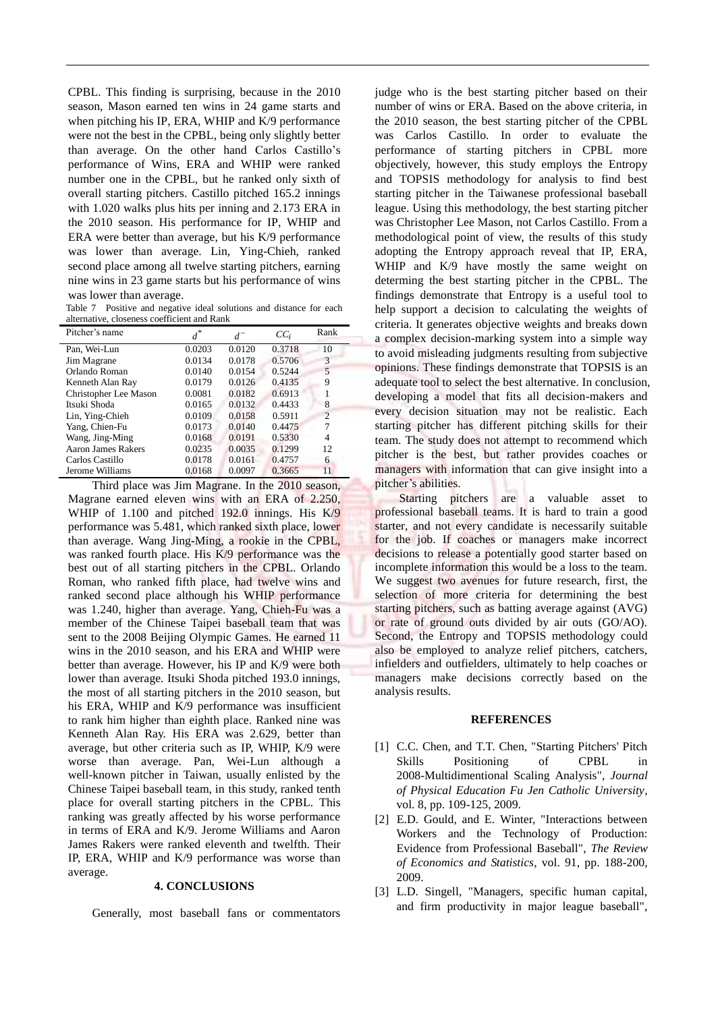CPBL. This finding is surprising, because in the 2010 season, Mason earned ten wins in 24 game starts and when pitching his IP, ERA, WHIP and K/9 performance were not the best in the CPBL, being only slightly better than average. On the other hand Carlos Castillo's performance of Wins, ERA and WHIP were ranked number one in the CPBL, but he ranked only sixth of overall starting pitchers. Castillo pitched 165.2 innings with 1.020 walks plus hits per inning and 2.173 ERA in the 2010 season. His performance for IP, WHIP and ERA were better than average, but his K/9 performance was lower than average. Lin, Ying-Chieh, ranked second place among all twelve starting pitchers, earning nine wins in 23 game starts but his performance of wins was lower than average.

Table 7 Positive and negative ideal solutions and distance for each alternative, closeness coefficient and Rank

| Pitcher's name        | $d^*$  | $d^-$  | $CC_i$ | Rank           |
|-----------------------|--------|--------|--------|----------------|
| Pan, Wei-Lun          | 0.0203 | 0.0120 | 0.3718 | 10             |
| Jim Magrane           | 0.0134 | 0.0178 | 0.5706 | 3              |
| Orlando Roman         | 0.0140 | 0.0154 | 0.5244 | 5              |
| Kenneth Alan Ray      | 0.0179 | 0.0126 | 0.4135 | 9              |
| Christopher Lee Mason | 0.0081 | 0.0182 | 0.6913 |                |
| Itsuki Shoda          | 0.0165 | 0.0132 | 0.4433 | 8              |
| Lin, Ying-Chieh       | 0.0109 | 0.0158 | 0.5911 | $\overline{c}$ |
| Yang, Chien-Fu        | 0.0173 | 0.0140 | 0.4475 | 7              |
| Wang, Jing-Ming       | 0.0168 | 0.0191 | 0.5330 | 4              |
| Aaron James Rakers    | 0.0235 | 0.0035 | 0.1299 | 12             |
| Carlos Castillo       | 0.0178 | 0.0161 | 0.4757 | 6              |
| Jerome Williams       | 0.0168 | 0.0097 | 0.3665 | 11             |

Third place was Jim Magrane. In the 2010 season, Magrane earned eleven wins with an ERA of 2.250, WHIP of 1.100 and pitched 192.0 innings. His K/9 performance was 5.481, which ranked sixth place, lower than average. Wang Jing-Ming, a rookie in the CPBL, was ranked fourth place. His K/9 performance was the best out of all starting pitchers in the CPBL. Orlando Roman, who ranked fifth place, had twelve wins and ranked second place although his WHIP performance was 1.240, higher than average. Yang, Chieh-Fu was a member of the Chinese Taipei baseball team that was sent to the 2008 Beijing Olympic Games. He earned 11 wins in the 2010 season, and his ERA and WHIP were better than average. However, his IP and K/9 were both lower than average. Itsuki Shoda pitched 193.0 innings, the most of all starting pitchers in the 2010 season, but his ERA, WHIP and K/9 performance was insufficient to rank him higher than eighth place. Ranked nine was Kenneth Alan Ray. His ERA was 2.629, better than average, but other criteria such as IP, WHIP, K/9 were worse than average. Pan, Wei-Lun although a well-known pitcher in Taiwan, usually enlisted by the Chinese Taipei baseball team, in this study, ranked tenth place for overall starting pitchers in the CPBL. This ranking was greatly affected by his worse performance in terms of ERA and K/9. Jerome Williams and Aaron James Rakers were ranked eleventh and twelfth. Their IP, ERA, WHIP and K/9 performance was worse than average.

## **4. CONCLUSIONS**

Generally, most baseball fans or commentators

judge who is the best starting pitcher based on their number of wins or ERA. Based on the above criteria, in the 2010 season, the best starting pitcher of the CPBL was Carlos Castillo. In order to evaluate the performance of starting pitchers in CPBL more objectively, however, this study employs the Entropy and TOPSIS methodology for analysis to find best starting pitcher in the Taiwanese professional baseball league. Using this methodology, the best starting pitcher was Christopher Lee Mason, not Carlos Castillo. From a methodological point of view, the results of this study adopting the Entropy approach reveal that IP, ERA, WHIP and K/9 have mostly the same weight on determing the best starting pitcher in the CPBL. The findings demonstrate that Entropy is a useful tool to help support a decision to calculating the weights of criteria. It generates objective weights and breaks down a complex decision-marking system into a simple way to avoid misleading judgments resulting from subjective opinions. These findings demonstrate that TOPSIS is an adequate tool to select the best alternative. In conclusion, developing a model that fits all decision-makers and every decision situation may not be realistic. Each starting pitcher has different pitching skills for their team. The study does not attempt to recommend which pitcher is the best, but rather provides coaches or managers with information that can give insight into a pitcher's abilities.

 Starting pitchers are a valuable asset to professional baseball teams. It is hard to train a good starter, and not every candidate is necessarily suitable for the job. If coaches or managers make incorrect decisions to release a potentially good starter based on incomplete information this would be a loss to the team. We suggest two avenues for future research, first, the selection of more criteria for determining the best starting pitchers, such as batting average against (AVG) or rate of ground outs divided by air outs (GO/AO). Second, the Entropy and TOPSIS methodology could also be employed to analyze relief pitchers, catchers, infielders and outfielders, ultimately to help coaches or managers make decisions correctly based on the analysis results.

#### **REFERENCES**

- [1] C.C. Chen, and T.T. Chen, "Starting Pitchers' Pitch Skills Positioning of CPBL in 2008-Multidimentional Scaling Analysis", *Journal of Physical Education Fu Jen Catholic University*, vol. 8, pp. 109-125, 2009.
- [2] E.D. Gould, and E. Winter, "Interactions between Workers and the Technology of Production: Evidence from Professional Baseball", *The Review of Economics and Statistics*, vol. 91, pp. 188-200, 2009.
- [3] L.D. Singell, "Managers, specific human capital, and firm productivity in major league baseball",